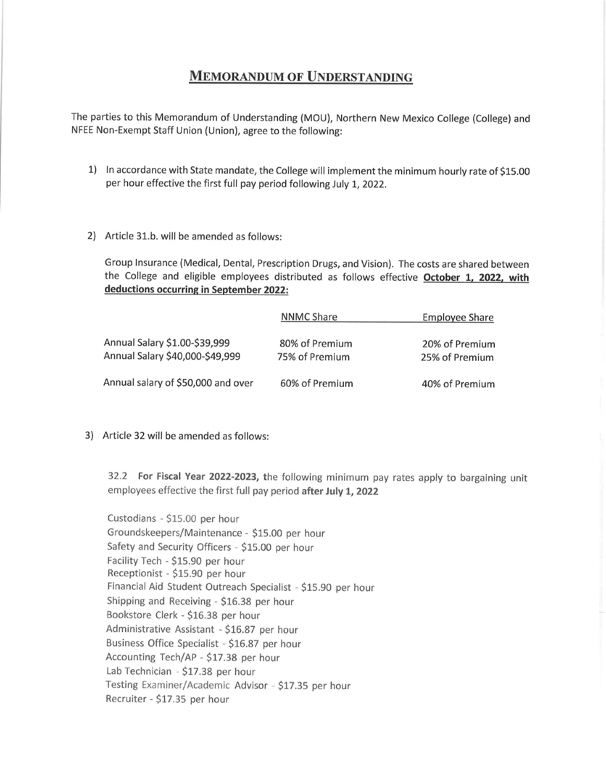## **MEMORANDUM OF UNDERSTANDING**

The parties to this Memorandum of Understanding (MOU), Northern New Mexico College (College) and NFEE Non-Exempt Staff Union (Union), agree to the following:

- 1) ln accordance with State mandate, the College will implement the minimum hourly rate of S15.00 per hour effective the first full pay period following July 1, 2022.
- 2) Article 31.b. will be amended as follows

Group lnsurance (Medical, Dental, Prescription Drugs, and Vision). The costs are shared between the College and eligible employees distributed as follows effective October 1, 2022, with deductions occurring in September 2022:

|                                                                  | <b>NNMC Share</b>                | <b>Employee Share</b>            |
|------------------------------------------------------------------|----------------------------------|----------------------------------|
| Annual Salary \$1.00-\$39,999<br>Annual Salary \$40,000-\$49,999 | 80% of Premium<br>75% of Premium | 20% of Premium<br>25% of Premium |
| Annual salary of \$50,000 and over                               | 60% of Premium                   | 40% of Premium                   |

3) Article 32 will be amended as follows:

32.2 For Fiscal Year 2022-2023, the following minimum pay rates apply to bargaining unit employees effective the first full pay period after July 1, 2022

Custodians - \$15.00 per hour Groundskeepers/Maintenance - \$15.00 per hour Safety and Security Officers - \$15.00 per hour Facility Tech - \$15.90 per hour Receptionist - \$15.90 per hour Financial Aid Student Outreach Specialist - \$15.90 per hour Shipping and Receiving  $-$  \$16.38 per hour Bookstore Clerk - \$16.33 per hour Administrative Assistant - \$1S.87 per hour Business Office Specialist - \$16.87 per hour Accounting Teeh/AP - \$17.33 per hour Lab Technician - \$17.38 per hour Testing Examiner/Academic Advisor - \$17.35 per hour Recruiter - \$17.35 per hour